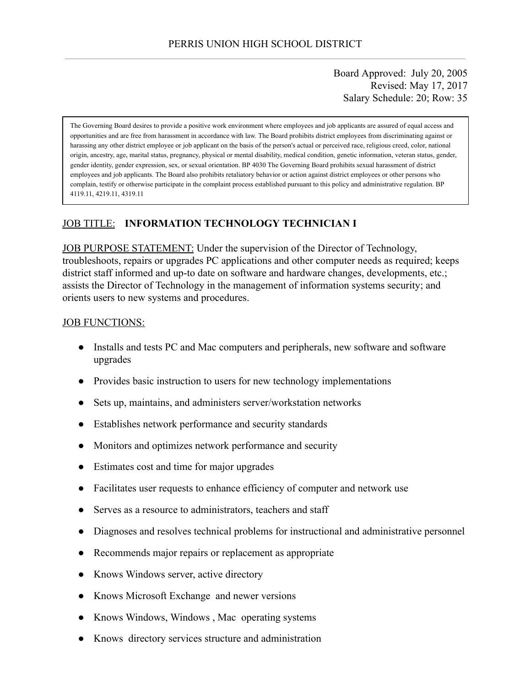Board Approved: July 20, 2005 Revised: May 17, 2017 Salary Schedule: 20; Row: 35

The Governing Board desires to provide a positive work environment where employees and job applicants are assured of equal access and opportunities and are free from harassment in accordance with law. The Board prohibits district employees from discriminating against or harassing any other district employee or job applicant on the basis of the person's actual or perceived race, religious creed, color, national origin, ancestry, age, marital status, pregnancy, physical or mental disability, medical condition, genetic information, veteran status, gender, gender identity, gender expression, sex, or sexual orientation. BP 4030 The Governing Board prohibits sexual harassment of district employees and job applicants. The Board also prohibits retaliatory behavior or action against district employees or other persons who complain, testify or otherwise participate in the complaint process established pursuant to this policy and administrative regulation. BP 4119.11, 4219.11, 4319.11

### JOB TITLE: **INFORMATION TECHNOLOGY TECHNICIAN I**

JOB PURPOSE STATEMENT: Under the supervision of the Director of Technology, troubleshoots, repairs or upgrades PC applications and other computer needs as required; keeps district staff informed and up-to date on software and hardware changes, developments, etc.; assists the Director of Technology in the management of information systems security; and orients users to new systems and procedures.

#### JOB FUNCTIONS:

- Installs and tests PC and Mac computers and peripherals, new software and software upgrades
- Provides basic instruction to users for new technology implementations
- Sets up, maintains, and administers server/workstation networks
- Establishes network performance and security standards
- Monitors and optimizes network performance and security
- Estimates cost and time for major upgrades
- Facilitates user requests to enhance efficiency of computer and network use
- Serves as a resource to administrators, teachers and staff
- Diagnoses and resolves technical problems for instructional and administrative personnel
- Recommends major repairs or replacement as appropriate
- Knows Windows server, active directory
- Knows Microsoft Exchange and newer versions
- Knows Windows, Windows, Mac operating systems
- Knows directory services structure and administration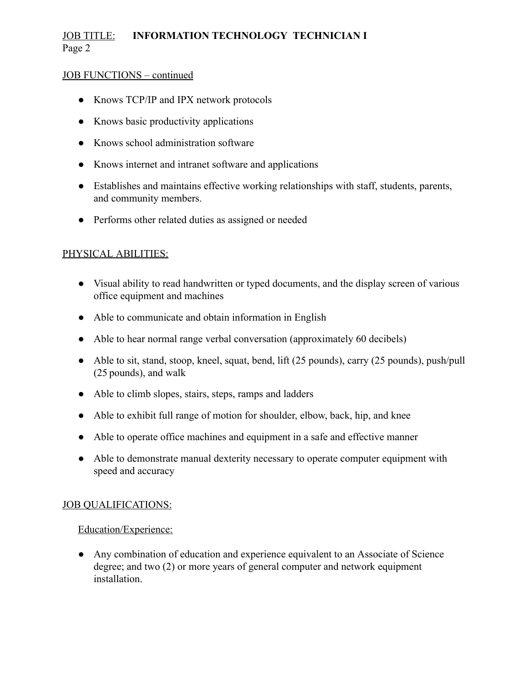# JOB TITLE: **INFORMATION TECHNOLOGY TECHNICIAN I** Page 2

### JOB FUNCTIONS – continued

- Knows TCP/IP and IPX network protocols
- Knows basic productivity applications
- Knows school administration software
- Knows internet and intranet software and applications
- Establishes and maintains effective working relationships with staff, students, parents, and community members.
- Performs other related duties as assigned or needed

### PHYSICAL ABILITIES:

- Visual ability to read handwritten or typed documents, and the display screen of various office equipment and machines
- Able to communicate and obtain information in English
- Able to hear normal range verbal conversation (approximately 60 decibels)
- Able to sit, stand, stoop, kneel, squat, bend, lift (25 pounds), carry (25 pounds), push/pull (25 pounds), and walk
- Able to climb slopes, stairs, steps, ramps and ladders
- Able to exhibit full range of motion for shoulder, elbow, back, hip, and knee
- Able to operate office machines and equipment in a safe and effective manner
- Able to demonstrate manual dexterity necessary to operate computer equipment with speed and accuracy

### **JOB QUALIFICATIONS:**

### Education/Experience:

● Any combination of education and experience equivalent to an Associate of Science degree; and two (2) or more years of general computer and network equipment installation.